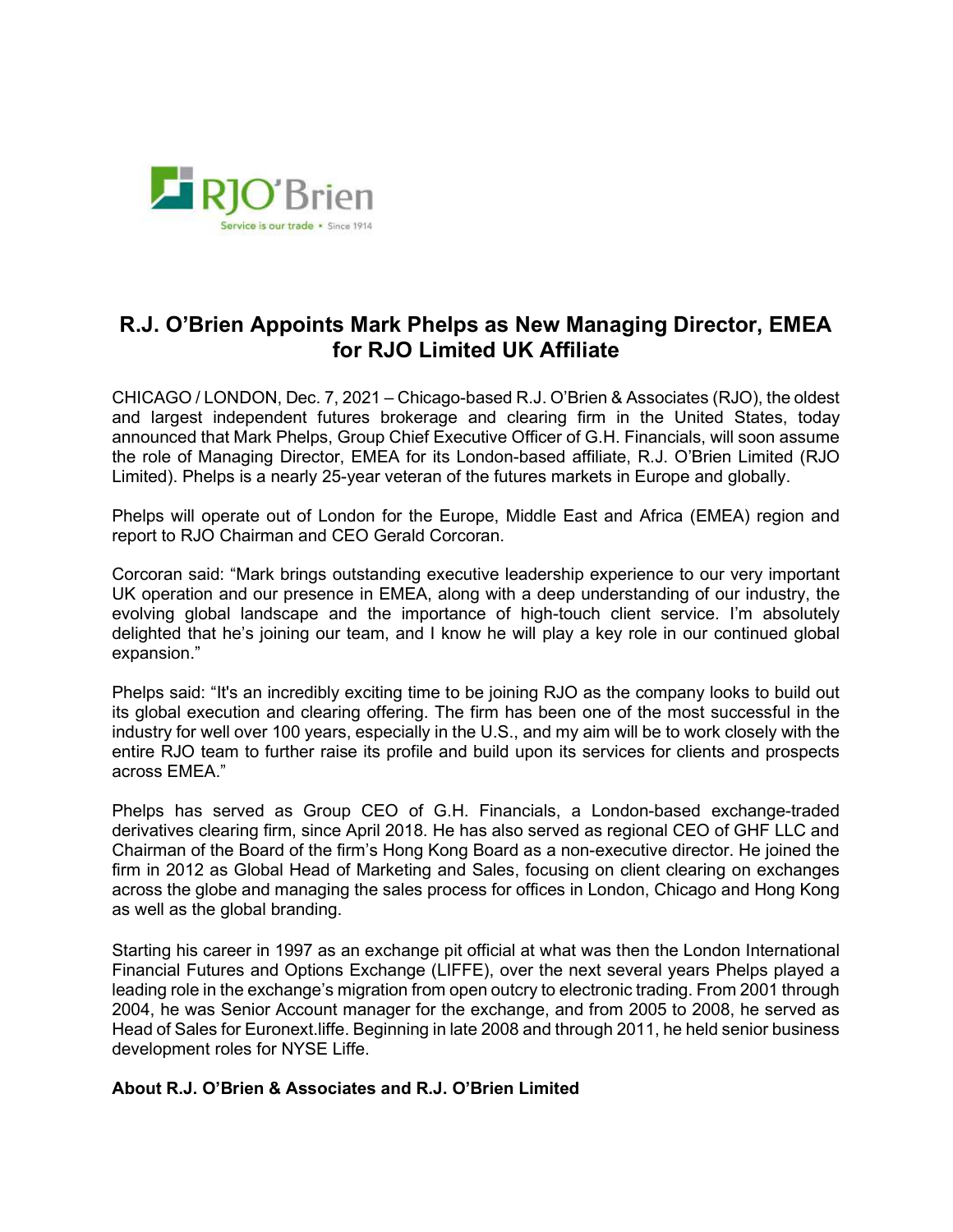

## R.J. O'Brien Appoints Mark Phelps as New Managing Director, EMEA for RJO Limited UK Affiliate

CHICAGO / LONDON, Dec. 7, 2021 – Chicago-based R.J. O'Brien & Associates (RJO), the oldest and largest independent futures brokerage and clearing firm in the United States, today announced that Mark Phelps, Group Chief Executive Officer of G.H. Financials, will soon assume the role of Managing Director, EMEA for its London-based affiliate, R.J. O'Brien Limited (RJO Limited). Phelps is a nearly 25-year veteran of the futures markets in Europe and globally.

Phelps will operate out of London for the Europe, Middle East and Africa (EMEA) region and report to RJO Chairman and CEO Gerald Corcoran.

Corcoran said: "Mark brings outstanding executive leadership experience to our very important UK operation and our presence in EMEA, along with a deep understanding of our industry, the evolving global landscape and the importance of high-touch client service. I'm absolutely delighted that he's joining our team, and I know he will play a key role in our continued global expansion."

Phelps said: "It's an incredibly exciting time to be joining RJO as the company looks to build out its global execution and clearing offering. The firm has been one of the most successful in the industry for well over 100 years, especially in the U.S., and my aim will be to work closely with the entire RJO team to further raise its profile and build upon its services for clients and prospects across EMEA."

Phelps has served as Group CEO of G.H. Financials, a London-based exchange-traded derivatives clearing firm, since April 2018. He has also served as regional CEO of GHF LLC and Chairman of the Board of the firm's Hong Kong Board as a non-executive director. He joined the firm in 2012 as Global Head of Marketing and Sales, focusing on client clearing on exchanges across the globe and managing the sales process for offices in London, Chicago and Hong Kong as well as the global branding.

Starting his career in 1997 as an exchange pit official at what was then the London International Financial Futures and Options Exchange (LIFFE), over the next several years Phelps played a leading role in the exchange's migration from open outcry to electronic trading. From 2001 through 2004, he was Senior Account manager for the exchange, and from 2005 to 2008, he served as Head of Sales for Euronext.liffe. Beginning in late 2008 and through 2011, he held senior business development roles for NYSE Liffe.

## About R.J. O'Brien & Associates and R.J. O'Brien Limited